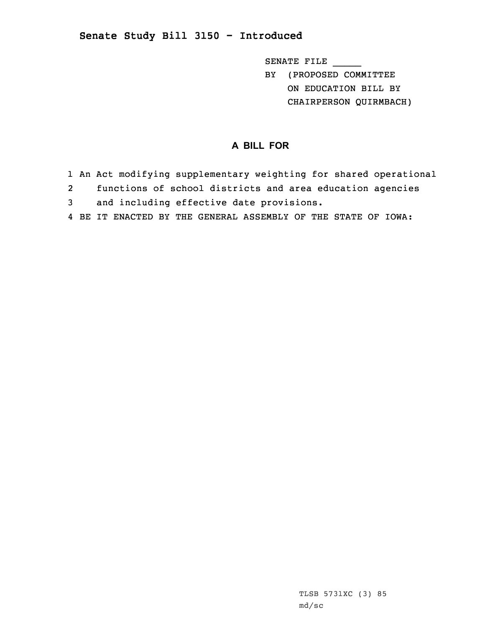## **Senate Study Bill 3150 - Introduced**

SENATE FILE \_\_\_\_\_

BY (PROPOSED COMMITTEE ON EDUCATION BILL BY CHAIRPERSON QUIRMBACH)

## **A BILL FOR**

- 1 An Act modifying supplementary weighting for shared operational
- 2functions of school districts and area education agencies
- 3 and including effective date provisions.
- 4 BE IT ENACTED BY THE GENERAL ASSEMBLY OF THE STATE OF IOWA: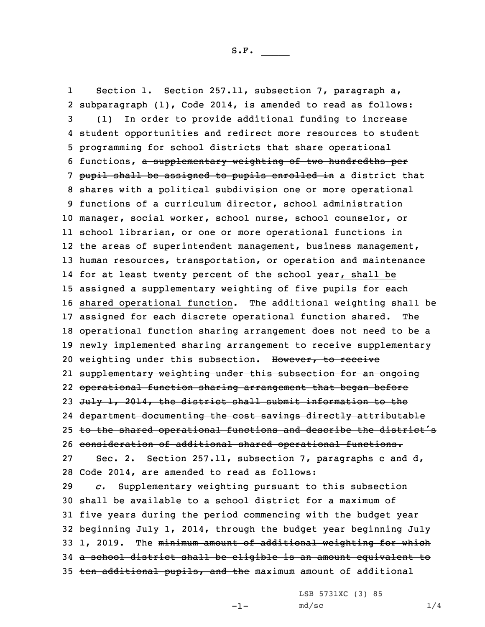1 Section 1. Section 257.11, subsection 7, paragraph a, subparagraph (1), Code 2014, is amended to read as follows: (1) In order to provide additional funding to increase student opportunities and redirect more resources to student programming for school districts that share operational functions, <sup>a</sup> supplementary weighting of two hundredths per 7 pupil shall be assigned to pupils enrolled in a district that shares with <sup>a</sup> political subdivision one or more operational functions of <sup>a</sup> curriculum director, school administration manager, social worker, school nurse, school counselor, or school librarian, or one or more operational functions in 12 the areas of superintendent management, business management, human resources, transportation, or operation and maintenance for at least twenty percent of the school year, shall be assigned <sup>a</sup> supplementary weighting of five pupils for each shared operational function. The additional weighting shall be assigned for each discrete operational function shared. The operational function sharing arrangement does not need to be <sup>a</sup> newly implemented sharing arrangement to receive supplementary 20 weighting under this subsection. However, to receive supplementary weighting under this subsection for an ongoing operational function sharing arrangement that began before 23 July 1, 2014, the district shall submit information to the department documenting the cost savings directly attributable 25 to the shared operational functions and describe the district's consideration of additional shared operational functions. Sec. 2. Section 257.11, subsection 7, paragraphs <sup>c</sup> and d, Code 2014, are amended to read as follows: *c.* Supplementary weighting pursuant to this subsection shall be available to <sup>a</sup> school district for <sup>a</sup> maximum of five years during the period commencing with the budget year beginning July 1, 2014, through the budget year beginning July 33 1, 2019. The minimum amount of additional weighting for which <sup>a</sup> school district shall be eligible is an amount equivalent to 35 ten additional pupils, and the maximum amount of additional

 $-1-$ 

LSB 5731XC (3) 85  $md/sec$  1/4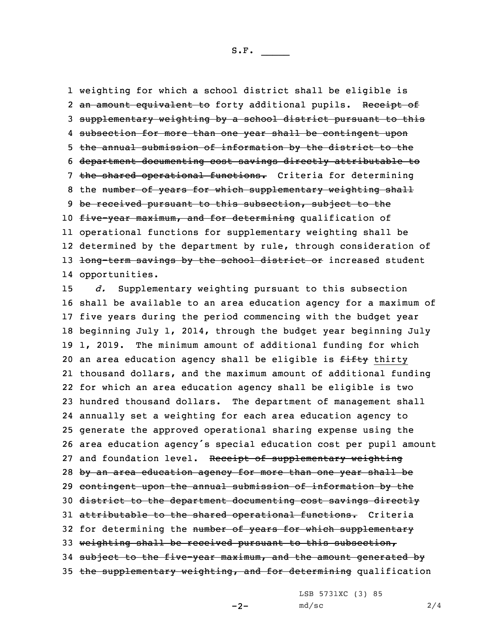1 weighting for which <sup>a</sup> school district shall be eligible is 2 <del>an amount equivalent to</del> forty additional pupils. Rece<del>ipt of</del> 3 supplementary weighting by <sup>a</sup> school district pursuant to this 4 subsection for more than one year shall be contingent upon 5 the annual submission of information by the district to the 6 department documenting cost savings directly attributable to 7 the shared operational functions. Criteria for determining 8 the number of years for which supplementary weighting shall 9 be received pursuant to this subsection, subject to the 10 five-year maximum, and for determining qualification of 11 operational functions for supplementary weighting shall be 12 determined by the department by rule, through consideration of 13 <del>long-term savings by the school district or</del> increased student 14 opportunities.

 *d.* Supplementary weighting pursuant to this subsection shall be available to an area education agency for <sup>a</sup> maximum of five years during the period commencing with the budget year beginning July 1, 2014, through the budget year beginning July 1, 2019. The minimum amount of additional funding for which 20 an area education agency shall be eligible is fifty thirty thousand dollars, and the maximum amount of additional funding for which an area education agency shall be eligible is two hundred thousand dollars. The department of management shall annually set <sup>a</sup> weighting for each area education agency to generate the approved operational sharing expense using the area education agency's special education cost per pupil amount 27 and foundation level. Receipt of supplementary weighting 28 by an area education agency for more than one year shall be contingent upon the annual submission of information by the district to the department documenting cost savings directly 31 attributable to the shared operational functions. Criteria 32 for determining the number of years for which supplementary weighting shall be received pursuant to this subsection, subject to the five-year maximum, and the amount generated by 35 the supplementary weighting, and for determining qualification

LSB 5731XC (3) 85

 $-2-$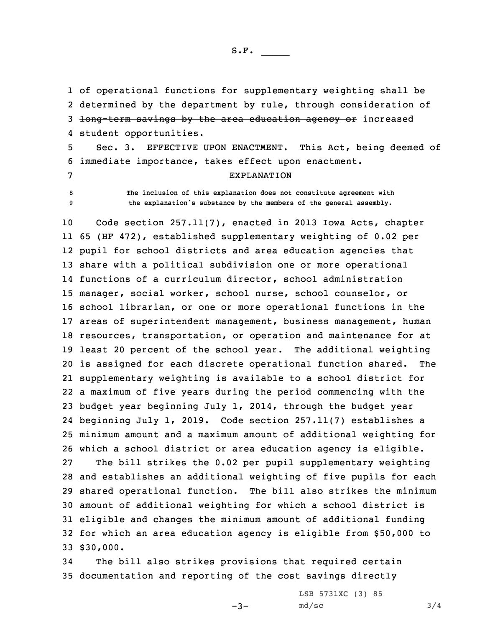S.F.  $\rule{1em}{0.15mm}$ 

 of operational functions for supplementary weighting shall be determined by the department by rule, through consideration of 3 <del>long-term savings by the area education agency or</del> increased student opportunities.

5 Sec. 3. EFFECTIVE UPON ENACTMENT. This Act, being deemed of 6 immediate importance, takes effect upon enactment. 7 EXPLANATION

8 **The inclusion of this explanation does not constitute agreement with** <sup>9</sup> **the explanation's substance by the members of the general assembly.**

 Code section 257.11(7), enacted in 2013 Iowa Acts, chapter 65 (HF 472), established supplementary weighting of 0.02 per pupil for school districts and area education agencies that share with <sup>a</sup> political subdivision one or more operational functions of <sup>a</sup> curriculum director, school administration manager, social worker, school nurse, school counselor, or school librarian, or one or more operational functions in the areas of superintendent management, business management, human resources, transportation, or operation and maintenance for at least 20 percent of the school year. The additional weighting is assigned for each discrete operational function shared. The supplementary weighting is available to <sup>a</sup> school district for <sup>a</sup> maximum of five years during the period commencing with the budget year beginning July 1, 2014, through the budget year beginning July 1, 2019. Code section 257.11(7) establishes <sup>a</sup> minimum amount and <sup>a</sup> maximum amount of additional weighting for which <sup>a</sup> school district or area education agency is eligible. The bill strikes the 0.02 per pupil supplementary weighting and establishes an additional weighting of five pupils for each shared operational function. The bill also strikes the minimum amount of additional weighting for which <sup>a</sup> school district is eligible and changes the minimum amount of additional funding for which an area education agency is eligible from \$50,000 to 33 \$30,000.

34 The bill also strikes provisions that required certain 35 documentation and reporting of the cost savings directly

 $-3-$ 

LSB 5731XC (3) 85  $md/sec$  3/4